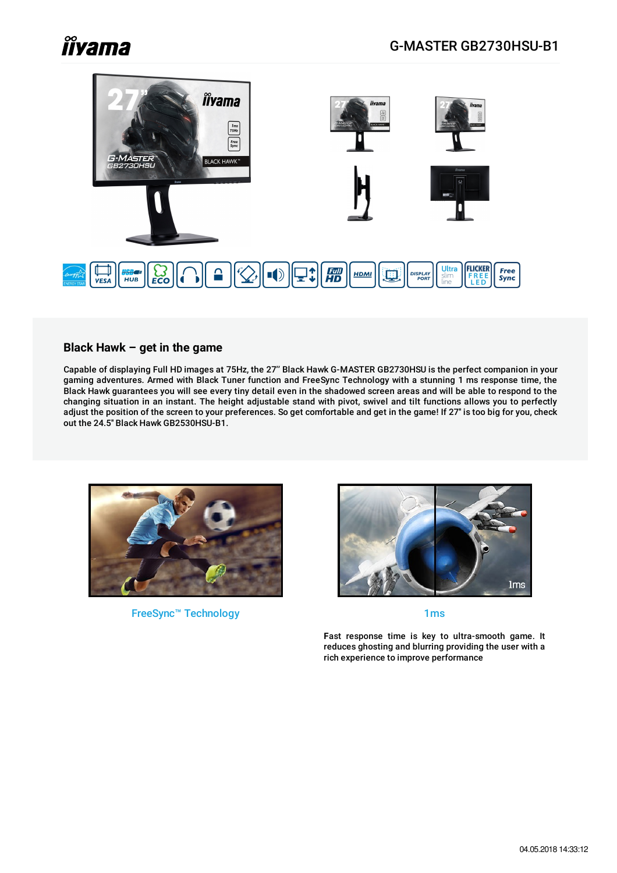# **Îiyama**



#### **Black Hawk – get in the game**

Capable of displaying Full HD images at 75Hz, the 27'' Black Hawk G-MASTER GB2730HSU is the perfect companion in your gaming adventures. Armed with Black Tuner function and FreeSync Technology with a stunning 1 ms response time, the Black Hawk guarantees you will see every tiny detail even in the shadowed screen areas and will be able to respond to the changing situation in an instant. The height adjustable stand with pivot, swivel and tilt functions allows you to perfectly adjust the position of the screen to your preferences. So get comfortable and get in the game! If 27'' is too big for you, check out the 24.5'' Black Hawk GB2530HSU-B1.



FreeSync™ Technology 1ms 1ms



**F**ast response time is key to ultra-smooth game. It reduces ghosting and blurring providing the user with a rich experience to improve performance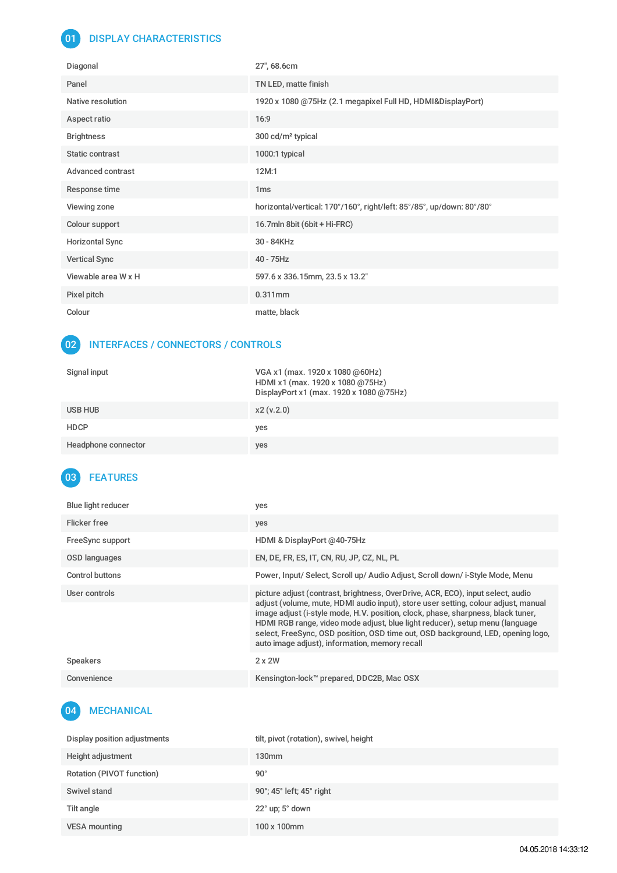## 01 DISPLAY CHARACTERISTICS

| Diagonal               | 27", 68.6cm                                                           |
|------------------------|-----------------------------------------------------------------------|
| Panel                  | TN LED, matte finish                                                  |
| Native resolution      | 1920 x 1080 @75Hz (2.1 megapixel Full HD, HDMI&DisplayPort)           |
| Aspect ratio           | 16:9                                                                  |
| <b>Brightness</b>      | 300 cd/m <sup>2</sup> typical                                         |
| Static contrast        | 1000:1 typical                                                        |
| Advanced contrast      | 12M:1                                                                 |
| Response time          | 1 <sub>ms</sub>                                                       |
| Viewing zone           | horizontal/vertical: 170°/160°, right/left: 85°/85°, up/down: 80°/80° |
| Colour support         | 16.7mln 8bit (6bit + Hi-FRC)                                          |
| <b>Horizontal Sync</b> | 30 - 84KHz                                                            |
| <b>Vertical Sync</b>   | $40 - 75$ Hz                                                          |
| Viewable area W x H    | 597.6 x 336.15mm, 23.5 x 13.2"                                        |
| Pixel pitch            | $0.311$ mm                                                            |
| Colour                 | matte, black                                                          |

#### 02 INTERFACES / CONNECTORS / CONTROLS

| Signal input        | VGA x1 (max. 1920 x 1080 @60Hz)<br>HDMI x1 (max. 1920 x 1080 @75Hz)<br>DisplayPort x1 (max. 1920 x 1080 @75Hz) |
|---------------------|----------------------------------------------------------------------------------------------------------------|
| USB HUB             | x2(v.2.0)                                                                                                      |
| <b>HDCP</b>         | yes                                                                                                            |
| Headphone connector | yes                                                                                                            |

# 03 FEATURES

| Blue light reducer | yes                                                                                                                                                                                                                                                                                                                                                                                                                                                                             |
|--------------------|---------------------------------------------------------------------------------------------------------------------------------------------------------------------------------------------------------------------------------------------------------------------------------------------------------------------------------------------------------------------------------------------------------------------------------------------------------------------------------|
| Flicker free       | yes                                                                                                                                                                                                                                                                                                                                                                                                                                                                             |
| FreeSync support   | HDMI & DisplayPort @40-75Hz                                                                                                                                                                                                                                                                                                                                                                                                                                                     |
| OSD languages      | EN, DE, FR, ES, IT, CN, RU, JP, CZ, NL, PL                                                                                                                                                                                                                                                                                                                                                                                                                                      |
| Control buttons    | Power, Input/ Select, Scroll up/ Audio Adjust, Scroll down/ i-Style Mode, Menu                                                                                                                                                                                                                                                                                                                                                                                                  |
| User controls      | picture adjust (contrast, brightness, OverDrive, ACR, ECO), input select, audio<br>adjust (volume, mute, HDMI audio input), store user setting, colour adjust, manual<br>image adjust (i-style mode, H.V. position, clock, phase, sharpness, black tuner,<br>HDMI RGB range, video mode adjust, blue light reducer), setup menu (language<br>select, FreeSync, OSD position, OSD time out, OSD background, LED, opening logo,<br>auto image adjust), information, memory recall |
| <b>Speakers</b>    | $2 \times 2W$                                                                                                                                                                                                                                                                                                                                                                                                                                                                   |
| Convenience        | Kensington-lock™ prepared, DDC2B, Mac OSX                                                                                                                                                                                                                                                                                                                                                                                                                                       |

## 04 MECHANICAL

| Display position adjustments | tilt, pivot (rotation), swivel, height |
|------------------------------|----------------------------------------|
| Height adjustment            | 130 <sub>mm</sub>                      |
| Rotation (PIVOT function)    | $90^{\circ}$                           |
| Swivel stand                 | 90°; 45° left; 45° right               |
| Tilt angle                   | $22^{\circ}$ up; $5^{\circ}$ down      |
| <b>VESA mounting</b>         | 100 x 100mm                            |